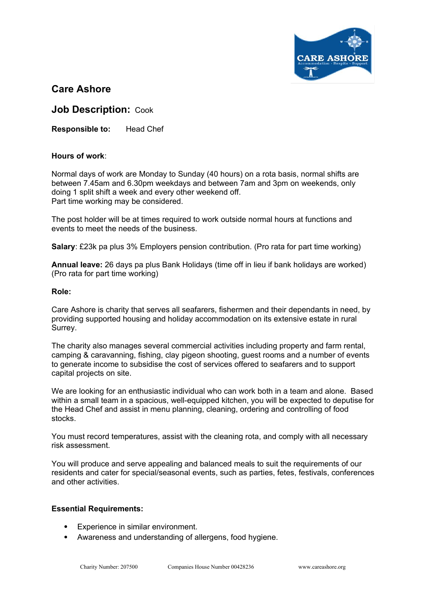

# **Care Ashore**

**Job Description:** Cook

**Responsible to:** Head Chef

## **Hours of work**:

Normal days of work are Monday to Sunday (40 hours) on a rota basis, normal shifts are between 7.45am and 6.30pm weekdays and between 7am and 3pm on weekends, only doing 1 split shift a week and every other weekend off. Part time working may be considered.

The post holder will be at times required to work outside normal hours at functions and events to meet the needs of the business.

**Salary**: £23k pa plus 3% Employers pension contribution. (Pro rata for part time working)

**Annual leave:** 26 days pa plus Bank Holidays (time off in lieu if bank holidays are worked) (Pro rata for part time working)

#### **Role:**

Care Ashore is charity that serves all seafarers, fishermen and their dependants in need, by providing supported housing and holiday accommodation on its extensive estate in rural Surrey.

The charity also manages several commercial activities including property and farm rental, camping & caravanning, fishing, clay pigeon shooting, guest rooms and a number of events to generate income to subsidise the cost of services offered to seafarers and to support capital projects on site.

We are looking for an enthusiastic individual who can work both in a team and alone. Based within a small team in a spacious, well-equipped kitchen, you will be expected to deputise for the Head Chef and assist in menu planning, cleaning, ordering and controlling of food stocks.

You must record temperatures, assist with the cleaning rota, and comply with all necessary risk assessment.

You will produce and serve appealing and balanced meals to suit the requirements of our residents and cater for special/seasonal events, such as parties, fetes, festivals, conferences and other activities.

## **Essential Requirements:**

- Experience in similar environment.
- Awareness and understanding of allergens, food hygiene.